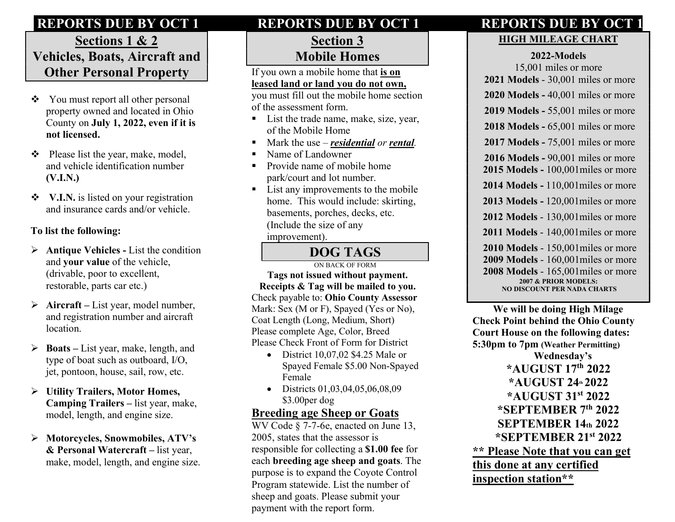# REPORTS DUE BY OCT 1 REPORTS DUE BY OCT 1 REPORTS DUE BY OCT 1

# Sections 1 & 2 Vehicles, Boats, Aircraft and Other Personal Property

- You must report all other personal property owned and located in Ohio County on July 1, 2022, even if it is not licensed.
- $\triangleleft$  Please list the year, make, model, and vehicle identification number (V.I.N.)
- V.I.N. is listed on your registration and insurance cards and/or vehicle.

#### To list the following:

- $\triangleright$  Antique Vehicles List the condition and your value of the vehicle, (drivable, poor to excellent, restorable, parts car etc.)
- $\triangleright$  Aircraft List year, model number, and registration number and aircraft location.
- $\triangleright$  Boats List year, make, length, and type of boat such as outboard, I/O, jet, pontoon, house, sail, row, etc.
- Utility Trailers, Motor Homes, Camping Trailers – list year, make, model, length, and engine size.
- Motorcycles, Snowmobiles, ATV's & Personal Watercraft – list year, make, model, length, and engine size.

#### Section 3 Mobile Homes

If you own a mobile home that is on leased land or land you do not own,

you must fill out the mobile home section of the assessment form.

- List the trade name, make, size, year, of the Mobile Home
- $M$ ark the use *residential or rental*.
- Name of Landowner
- **Provide name of mobile home** park/court and lot number.
- List any improvements to the mobile home. This would include: skirting, basements, porches, decks, etc. (Include the size of any improvement).

# DOG TAGS

ON BACK OF FORM Tags not issued without payment. Receipts & Tag will be mailed to you. Check payable to: Ohio County Assessor Mark: Sex (M or F), Spayed (Yes or No), Coat Length (Long, Medium, Short) Please complete Age, Color, Breed Please Check Front of Form for District

- $\bullet$  District 10,07,02 \$4.25 Male or Spayed Female \$5.00 Non-Spayed Female
- Districts 01,03,04,05,06,08,09 \$3.00per dog

#### Breeding age Sheep or Goats

WV Code § 7-7-6e, enacted on June 13, 2005, states that the assessor is responsible for collecting a \$1.00 fee for each breeding age sheep and goats. The purpose is to expand the Coyote Control Program statewide. List the number of sheep and goats. Please submit your payment with the report form.

# HIGH MILEAGE CHART

#### 2022-Models

15,001 miles or more 2021 Models - 30,001 miles or more 2020 Models - 40,001 miles or more 2019 Models - 55,001 miles or more 2018 Models - 65,001 miles or more 2017 Models - 75,001 miles or more 2016 Models - 90,001 miles or more 2015 Models - 100,001miles or more 2014 Models - 110,001miles or more 2013 Models - 120,001miles or more 2012 Models - 130,001miles or more 2011 Models - 140,001miles or more 2010 Models - 150,001miles or more 2009 Models - 160,001miles or more 2008 Models - 165,001miles or more 2007 & PRIOR MODELS: NO DISCOUNT PER NADA CHARTS

 We will be doing High Milage Check Point behind the Ohio County Court House on the following dates: 5:30pm to 7pm (Weather Permitting) Wednesday's \*AUGUST 17th 2022  $*$ AUGUST 24<sup>th</sup> 2022 \*AUGUST 31st 2022 \*SEPTEMBER 7th 2022 SEPTEMBER 14th 2022 \*SEPTEMBER 21st 2022 \*\* Please Note that you can get this done at any certified inspection station\*\*